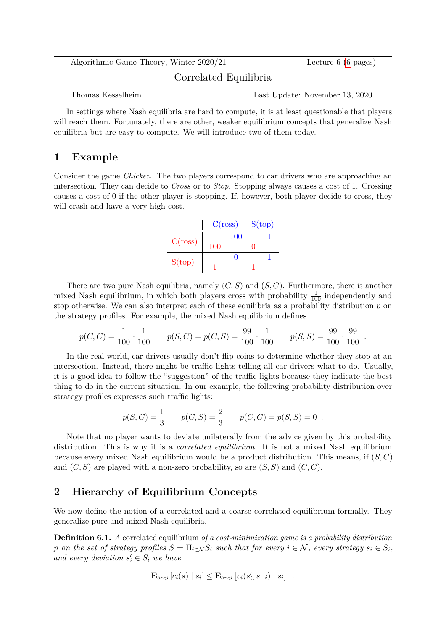<span id="page-0-0"></span>

| Algorithmic Game Theory, Winter 2020/21 | Lecture $6(6 \text{ pages})$   |  |
|-----------------------------------------|--------------------------------|--|
| Correlated Equilibria                   |                                |  |
| Thomas Kesselheim                       | Last Update: November 13, 2020 |  |

In settings where Nash equilibria are hard to compute, it is at least questionable that players will reach them. Fortunately, there are other, weaker equilibrium concepts that generalize Nash equilibria but are easy to compute. We will introduce two of them today.

# **1 Example**

Consider the game *Chicken*. The two players correspond to car drivers who are approaching an intersection. They can decide to *Cross* or to *Stop*. Stopping always causes a cost of 1. Crossing causes a cost of 0 if the other player is stopping. If, however, both player decide to cross, they will crash and have a very high cost.

|         | C(ross) | S(top) |
|---------|---------|--------|
|         | 100     |        |
| C(ross) | 100     |        |
| S(top)  |         |        |
|         |         |        |

There are two pure Nash equilibria, namely (*C, S*) and (*S, C*). Furthermore, there is another mixed Nash equilibrium, in which both players cross with probability  $\frac{1}{100}$  independently and stop otherwise. We can also interpret each of these equilibria as a probability distribution *p* on the strategy profiles. For example, the mixed Nash equilibrium defines

$$
p(C, C) = \frac{1}{100} \cdot \frac{1}{100} \qquad p(S, C) = p(C, S) = \frac{99}{100} \cdot \frac{1}{100} \qquad p(S, S) = \frac{99}{100} \cdot \frac{99}{100} \; .
$$

In the real world, car drivers usually don't flip coins to determine whether they stop at an intersection. Instead, there might be traffic lights telling all car drivers what to do. Usually, it is a good idea to follow the "suggestion" of the traffic lights because they indicate the best thing to do in the current situation. In our example, the following probability distribution over strategy profiles expresses such traffic lights:

$$
p(S, C) = \frac{1}{3}
$$
  $p(C, S) = \frac{2}{3}$   $p(C, C) = p(S, S) = 0$ .

Note that no player wants to deviate unilaterally from the advice given by this probability distribution. This is why it is a *correlated equilibrium*. It is not a mixed Nash equilibrium because every mixed Nash equilibrium would be a product distribution. This means, if (*S, C*) and  $(C, S)$  are played with a non-zero probability, so are  $(S, S)$  and  $(C, C)$ .

# **2 Hierarchy of Equilibrium Concepts**

We now define the notion of a correlated and a coarse correlated equilibrium formally. They generalize pure and mixed Nash equilibria.

**Definition 6.1.** *A* correlated equilibrium *of a cost-minimization game is a probability distribution p on the set of strategy profiles*  $S = \prod_{i \in \mathcal{N}} S_i$  *such that for every*  $i \in \mathcal{N}$ *, every strategy*  $s_i \in S_i$ *, and every deviation*  $s_i' \in S_i$  *we have* 

$$
\mathbf{E}_{s \sim p} [c_i(s) | s_i] \leq \mathbf{E}_{s \sim p} [c_i(s'_i, s_{-i}) | s_i] .
$$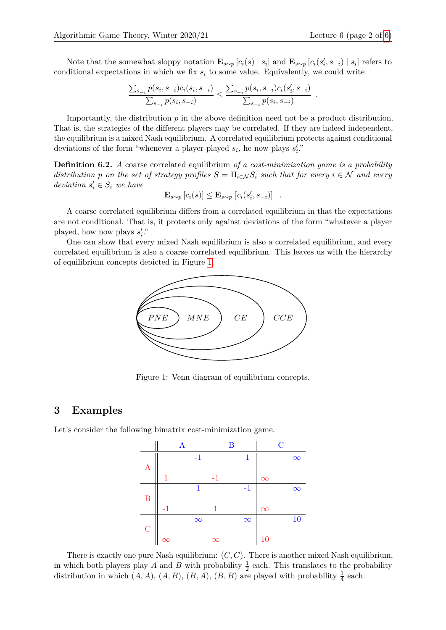Note that the somewhat sloppy notation  $\mathbf{E}_{s\sim p}[c_i(s) | s_i]$  and  $\mathbf{E}_{s\sim p}[c_i(s'_i, s_{-i}) | s_i]$  refers to conditional expectations in which we fix *s<sup>i</sup>* to some value. Equivalently, we could write

$$
\frac{\sum_{s_{-i}} p(s_i, s_{-i}) c_i(s_i, s_{-i})}{\sum_{s_{-i}} p(s_i, s_{-i})} \le \frac{\sum_{s_{-i}} p(s_i, s_{-i}) c_i(s'_i, s_{-i})}{\sum_{s_{-i}} p(s_i, s_{-i})}.
$$

Importantly, the distribution  $p$  in the above definition need not be a product distribution. That is, the strategies of the different players may be correlated. If they are indeed independent, the equilibrium is a mixed Nash equilibrium. A correlated equilibrium protects against conditional deviations of the form "whenever a player played  $s_i$ , he now plays  $s'_i$ ."

**Definition 6.2.** *A* coarse correlated equilibrium *of a cost-minimization game is a probability distribution p on the set of strategy profiles*  $S = \prod_{i \in \mathcal{N}} S_i$  *such that for every*  $i \in \mathcal{N}$  *and every deviation*  $s_i' \in S_i$  *we have* 

$$
\mathbf{E}_{s \sim p} [c_i(s)] \leq \mathbf{E}_{s \sim p} [c_i(s'_i, s_{-i})]
$$
.

A coarse correlated equilibrium differs from a correlated equilibrium in that the expectations are not conditional. That is, it protects only against deviations of the form "whatever a player played, how now plays  $s_i$ ."

One can show that every mixed Nash equilibrium is also a correlated equilibrium, and every correlated equilibrium is also a coarse correlated equilibrium. This leaves us with the hierarchy of equilibrium concepts depicted in Figure [1.](#page-1-0)



Figure 1: Venn diagram of equilibrium concepts.

#### <span id="page-1-0"></span>**3 Examples**

Let's consider the following bimatrix cost-minimization game.



There is exactly one pure Nash equilibrium: (*C, C*). There is another mixed Nash equilibrium, in which both players play *A* and *B* with probability  $\frac{1}{2}$  each. This translates to the probability distribution in which  $(A, A)$ ,  $(A, B)$ ,  $(B, A)$ ,  $(B, B)$  are played with probability  $\frac{1}{4}$  each.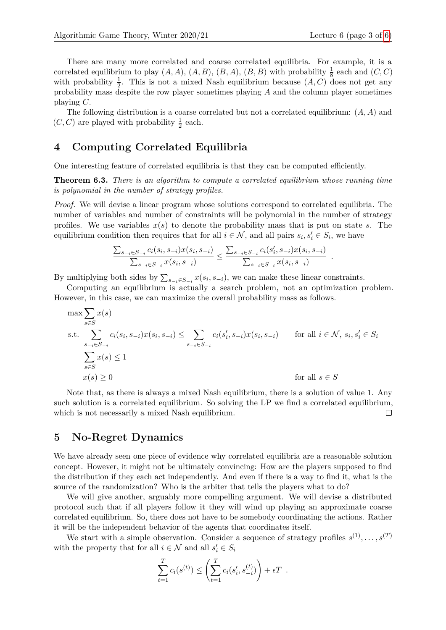There are many more correlated and coarse correlated equilibria. For example, it is a correlated equilibrium to play  $(A, A)$ ,  $(A, B)$ ,  $(B, A)$ ,  $(B, B)$  with probability  $\frac{1}{8}$  each and  $(C, C)$ with probability  $\frac{1}{2}$ . This is not a mixed Nash equilibrium because  $(A, C)$  does not get any probability mass despite the row player sometimes playing *A* and the column player sometimes playing *C*.

The following distribution is a coarse correlated but not a correlated equilibrium: (*A, A*) and  $(C, C)$  are played with probability  $\frac{1}{2}$  each.

#### **4 Computing Correlated Equilibria**

One interesting feature of correlated equilibria is that they can be computed efficiently.

**Theorem 6.3.** *There is an algorithm to compute a correlated equilibrium whose running time is polynomial in the number of strategy profiles.*

*Proof.* We will devise a linear program whose solutions correspond to correlated equilibria. The number of variables and number of constraints will be polynomial in the number of strategy profiles. We use variables  $x(s)$  to denote the probability mass that is put on state *s*. The equilibrium condition then requires that for all  $i \in \mathcal{N}$ , and all pairs  $s_i, s'_i \in S_i$ , we have

$$
\frac{\sum_{s_{-i}\in S_{-i}}c_i(s_i, s_{-i})x(s_i, s_{-i})}{\sum_{s_{-i}\in S_{-i}}x(s_i, s_{-i})} \le \frac{\sum_{s_{-i}\in S_{-i}}c_i(s'_i, s_{-i})x(s_i, s_{-i})}{\sum_{s_{-i}\in S_{-i}}x(s_i, s_{-i})}.
$$

By multiplying both sides by  $\sum_{s_{-i} \in S_{-i}} x(s_i, s_{-i})$ , we can make these linear constraints.

Computing an equilibrium is actually a search problem, not an optimization problem. However, in this case, we can maximize the overall probability mass as follows.

$$
\max \sum_{s \in S} x(s)
$$
\n
$$
\text{s.t.} \sum_{\substack{s_{-i} \in S_{-i}}} c_i(s_i, s_{-i}) x(s_i, s_{-i}) \le \sum_{s_{-i} \in S_{-i}} c_i(s'_i, s_{-i}) x(s_i, s_{-i}) \quad \text{for all } i \in \mathcal{N}, s_i, s'_i \in S_i
$$
\n
$$
\sum_{s \in S} x(s) \le 1
$$
\n
$$
x(s) \ge 0 \quad \text{for all } s \in S
$$

Note that, as there is always a mixed Nash equilibrium, there is a solution of value 1. Any such solution is a correlated equilibrium. So solving the LP we find a correlated equilibrium, which is not necessarily a mixed Nash equilibrium.  $\Box$ 

## **5 No-Regret Dynamics**

We have already seen one piece of evidence why correlated equilibria are a reasonable solution concept. However, it might not be ultimately convincing: How are the players supposed to find the distribution if they each act independently. And even if there is a way to find it, what is the source of the randomization? Who is the arbiter that tells the players what to do?

We will give another, arguably more compelling argument. We will devise a distributed protocol such that if all players follow it they will wind up playing an approximate coarse correlated equilibrium. So, there does not have to be somebody coordinating the actions. Rather it will be the independent behavior of the agents that coordinates itself.

We start with a simple observation. Consider a sequence of strategy profiles  $s^{(1)}, \ldots, s^{(T)}$ with the property that for all  $i \in \mathcal{N}$  and all  $s'_i \in S_i$ 

$$
\sum_{t=1}^{T} c_i(s^{(t)}) \leq \left(\sum_{t=1}^{T} c_i(s'_i, s_{-i}^{(t)})\right) + \epsilon T.
$$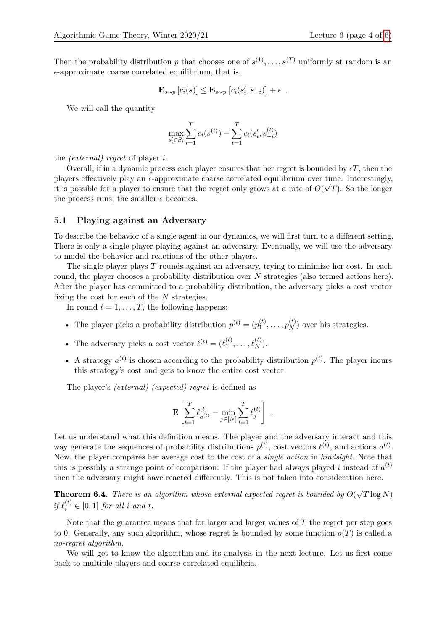Then the probability distribution *p* that chooses one of  $s^{(1)}, \ldots, s^{(T)}$  uniformly at random is an  $\epsilon$ -approximate coarse correlated equilibrium, that is,

$$
\mathbf{E}_{s \sim p} [c_i(s)] \leq \mathbf{E}_{s \sim p} [c_i(s'_i, s_{-i})] + \epsilon .
$$

We will call the quantity

$$
\max_{s'_i \in S_i} \sum_{t=1}^T c_i(s^{(t)}) - \sum_{t=1}^T c_i(s'_i, s_{-i}^{(t)})
$$

the *(external) regret* of player *i*.

Overall, if in a dynamic process each player ensures that her regret is bounded by  $\epsilon T$ , then the players effectively play an  $\epsilon$ -approximate coarse correlated equilibrium over time. Interestingly, it is possible for a player to ensure that the regret only grows at a rate of  $O(\sqrt{T})$ . So the longer the process runs, the smaller  $\epsilon$  becomes.

#### **5.1 Playing against an Adversary**

To describe the behavior of a single agent in our dynamics, we will first turn to a different setting. There is only a single player playing against an adversary. Eventually, we will use the adversary to model the behavior and reactions of the other players.

The single player plays *T* rounds against an adversary, trying to minimize her cost. In each round, the player chooses a probability distribution over *N* strategies (also termed actions here). After the player has committed to a probability distribution, the adversary picks a cost vector fixing the cost for each of the *N* strategies.

In round  $t = 1, \ldots, T$ , the following happens:

- The player picks a probability distribution  $p^{(t)} = (p_1^{(t)})$  $p_1^{(t)}, \ldots, p_N^{(t)}$  over his strategies.
- The adversary picks a cost vector  $\ell^{(t)} = (\ell_1^{(t)})$  $\ell_{1}^{(t)}, \ldots, \ell_{N}^{(t)}$ ).
- A strategy  $a^{(t)}$  is chosen according to the probability distribution  $p^{(t)}$ . The player incurs this strategy's cost and gets to know the entire cost vector.

The player's *(external) (expected) regret* is defined as

$$
\mathbf{E}\left[\sum_{t=1}^T \ell_{a^{(t)}}^{(t)} - \min_{j\in[N]}\sum_{t=1}^T \ell_j^{(t)}\right] .
$$

Let us understand what this definition means. The player and the adversary interact and this way generate the sequences of probability distributions  $p^{(t)}$ , cost vectors  $\ell^{(t)}$ , and actions  $a^{(t)}$ . Now, the player compares her average cost to the cost of a *single action* in *hindsight*. Note that this is possibly a strange point of comparison: If the player had always played *i* instead of  $a^{(t)}$ then the adversary might have reacted differently. This is not taken into consideration here.

**Theorem 6.4.** *There is an algorithm whose external expected regret is bounded by O*( √  $T\log N)$  $if \ell_i^{(t)} \in [0,1]$  *for all i and t.* 

Note that the guarantee means that for larger and larger values of *T* the regret per step goes to 0. Generally, any such algorithm, whose regret is bounded by some function  $o(T)$  is called a *no-regret algorithm*.

We will get to know the algorithm and its analysis in the next lecture. Let us first come back to multiple players and coarse correlated equilibria.